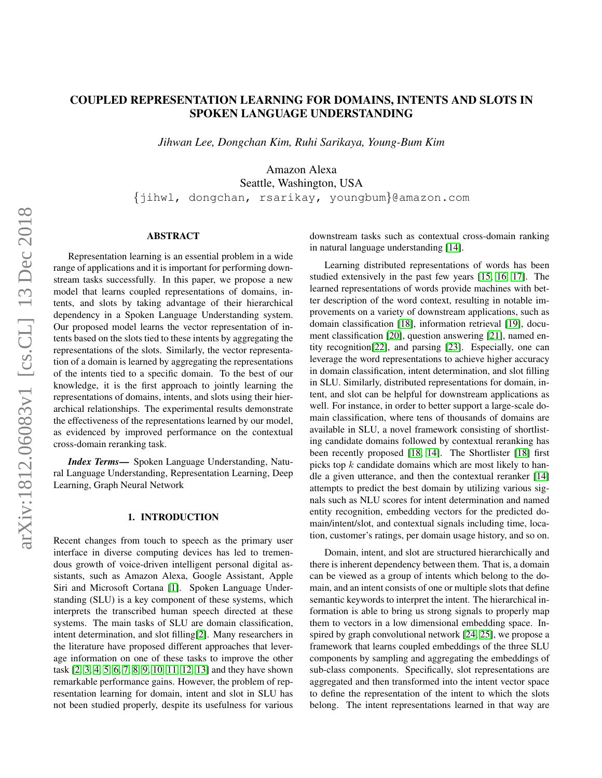# COUPLED REPRESENTATION LEARNING FOR DOMAINS, INTENTS AND SLOTS IN SPOKEN LANGUAGE UNDERSTANDING

*Jihwan Lee, Dongchan Kim, Ruhi Sarikaya, Young-Bum Kim*

Amazon Alexa

Seattle, Washington, USA {jihwl, dongchan, rsarikay, youngbum}@amazon.com

### ABSTRACT

Representation learning is an essential problem in a wide range of applications and it is important for performing downstream tasks successfully. In this paper, we propose a new model that learns coupled representations of domains, intents, and slots by taking advantage of their hierarchical dependency in a Spoken Language Understanding system. Our proposed model learns the vector representation of intents based on the slots tied to these intents by aggregating the representations of the slots. Similarly, the vector representation of a domain is learned by aggregating the representations of the intents tied to a specific domain. To the best of our knowledge, it is the first approach to jointly learning the representations of domains, intents, and slots using their hierarchical relationships. The experimental results demonstrate the effectiveness of the representations learned by our model, as evidenced by improved performance on the contextual cross-domain reranking task.

*Index Terms*— Spoken Language Understanding, Natural Language Understanding, Representation Learning, Deep Learning, Graph Neural Network

### 1. INTRODUCTION

Recent changes from touch to speech as the primary user interface in diverse computing devices has led to tremendous growth of voice-driven intelligent personal digital assistants, such as Amazon Alexa, Google Assistant, Apple Siri and Microsoft Cortana [\[1\]](#page-4-0). Spoken Language Understanding (SLU) is a key component of these systems, which interprets the transcribed human speech directed at these systems. The main tasks of SLU are domain classification, intent determination, and slot filling[\[2\]](#page-4-1). Many researchers in the literature have proposed different approaches that leverage information on one of these tasks to improve the other task [\[2,](#page-4-1) [3,](#page-4-2) [4,](#page-4-3) [5,](#page-4-4) [6,](#page-4-5) [7,](#page-4-6) [8,](#page-4-7) [9,](#page-4-8) [10,](#page-4-9) [11,](#page-5-0) [12,](#page-5-1) [13\]](#page-5-2) and they have shown remarkable performance gains. However, the problem of representation learning for domain, intent and slot in SLU has not been studied properly, despite its usefulness for various

downstream tasks such as contextual cross-domain ranking in natural language understanding [\[14\]](#page-5-3).

Learning distributed representations of words has been studied extensively in the past few years [\[15,](#page-5-4) [16,](#page-5-5) [17\]](#page-5-6). The learned representations of words provide machines with better description of the word context, resulting in notable improvements on a variety of downstream applications, such as domain classification [\[18\]](#page-5-7), information retrieval [\[19\]](#page-5-8), document classification [\[20\]](#page-5-9), question answering [\[21\]](#page-5-10), named entity recognition[\[22\]](#page-5-11), and parsing [\[23\]](#page-5-12). Especially, one can leverage the word representations to achieve higher accuracy in domain classification, intent determination, and slot filling in SLU. Similarly, distributed representations for domain, intent, and slot can be helpful for downstream applications as well. For instance, in order to better support a large-scale domain classification, where tens of thousands of domains are available in SLU, a novel framework consisting of shortlisting candidate domains followed by contextual reranking has been recently proposed [\[18,](#page-5-7) [14\]](#page-5-3). The Shortlister [\[18\]](#page-5-7) first picks top  $k$  candidate domains which are most likely to handle a given utterance, and then the contextual reranker [\[14\]](#page-5-3) attempts to predict the best domain by utilizing various signals such as NLU scores for intent determination and named entity recognition, embedding vectors for the predicted domain/intent/slot, and contextual signals including time, location, customer's ratings, per domain usage history, and so on.

Domain, intent, and slot are structured hierarchically and there is inherent dependency between them. That is, a domain can be viewed as a group of intents which belong to the domain, and an intent consists of one or multiple slots that define semantic keywords to interpret the intent. The hierarchical information is able to bring us strong signals to properly map them to vectors in a low dimensional embedding space. Inspired by graph convolutional network [\[24,](#page-5-13) [25\]](#page-5-14), we propose a framework that learns coupled embeddings of the three SLU components by sampling and aggregating the embeddings of sub-class components. Specifically, slot representations are aggregated and then transformed into the intent vector space to define the representation of the intent to which the slots belong. The intent representations learned in that way are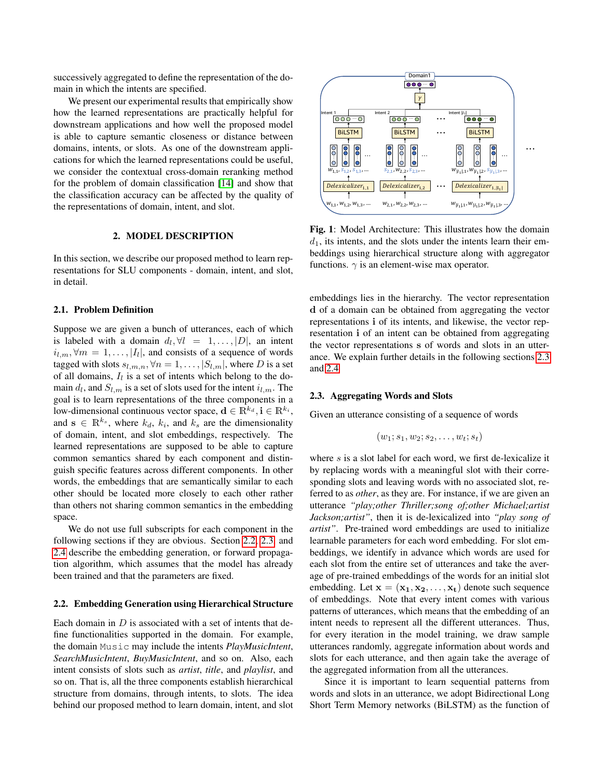successively aggregated to define the representation of the domain in which the intents are specified.

We present our experimental results that empirically show how the learned representations are practically helpful for downstream applications and how well the proposed model is able to capture semantic closeness or distance between domains, intents, or slots. As one of the downstream applications for which the learned representations could be useful, we consider the contextual cross-domain reranking method for the problem of domain classification [\[14\]](#page-5-3) and show that the classification accuracy can be affected by the quality of the representations of domain, intent, and slot.

#### 2. MODEL DESCRIPTION

In this section, we describe our proposed method to learn representations for SLU components - domain, intent, and slot, in detail.

### 2.1. Problem Definition

Suppose we are given a bunch of utterances, each of which is labeled with a domain  $d_l$ ,  $\forall l = 1, ..., |D|$ , an intent  $i_{l,m}, \forall m = 1, \ldots, |I_l|$ , and consists of a sequence of words tagged with slots  $s_{l,m,n}$ ,  $\forall n = 1, \ldots, |S_{l,m}|$ , where D is a set of all domains,  $I_l$  is a set of intents which belong to the domain  $d_l$ , and  $S_{l,m}$  is a set of slots used for the intent  $i_{l,m}$ . The goal is to learn representations of the three components in a low-dimensional continuous vector space,  $\mathbf{d} \in \mathbb{R}^{k_d}$ ,  $\mathbf{i} \in \mathbb{R}^{k_i}$ , and  $\mathbf{s} \in \mathbb{R}^{k_s}$ , where  $k_d$ ,  $k_i$ , and  $k_s$  are the dimensionality of domain, intent, and slot embeddings, respectively. The learned representations are supposed to be able to capture common semantics shared by each component and distinguish specific features across different components. In other words, the embeddings that are semantically similar to each other should be located more closely to each other rather than others not sharing common semantics in the embedding space.

We do not use full subscripts for each component in the following sections if they are obvious. Section [2.2,](#page-1-0) [2.3,](#page-1-1) and [2.4](#page-2-0) describe the embedding generation, or forward propagation algorithm, which assumes that the model has already been trained and that the parameters are fixed.

#### <span id="page-1-0"></span>2.2. Embedding Generation using Hierarchical Structure

Each domain in  $D$  is associated with a set of intents that define functionalities supported in the domain. For example, the domain Music may include the intents *PlayMusicIntent*, *SearchMusicIntent*, *BuyMusicIntent*, and so on. Also, each intent consists of slots such as *artist*, *title*, and *playlist*, and so on. That is, all the three components establish hierarchical structure from domains, through intents, to slots. The idea behind our proposed method to learn domain, intent, and slot



Fig. 1: Model Architecture: This illustrates how the domain  $d_1$ , its intents, and the slots under the intents learn their embeddings using hierarchical structure along with aggregator functions.  $\gamma$  is an element-wise max operator.

embeddings lies in the hierarchy. The vector representation d of a domain can be obtained from aggregating the vector representations i of its intents, and likewise, the vector representation i of an intent can be obtained from aggregating the vector representations s of words and slots in an utterance. We explain further details in the following sections [2.3](#page-1-1) and [2.4](#page-2-0)

#### <span id="page-1-1"></span>2.3. Aggregating Words and Slots

Given an utterance consisting of a sequence of words

$$
(w_1; s_1, w_2; s_2, \ldots, w_t; s_t)
$$

where s is a slot label for each word, we first de-lexicalize it by replacing words with a meaningful slot with their corresponding slots and leaving words with no associated slot, referred to as *other*, as they are. For instance, if we are given an utterance *"play;other Thriller;song of;other Michael;artist Jackson;artist"*, then it is de-lexicalized into *"play song of artist"*. Pre-trained word embeddings are used to initialize learnable parameters for each word embedding. For slot embeddings, we identify in advance which words are used for each slot from the entire set of utterances and take the average of pre-trained embeddings of the words for an initial slot embedding. Let  $\mathbf{x} = (\mathbf{x_1}, \mathbf{x_2}, \dots, \mathbf{x_t})$  denote such sequence of embeddings. Note that every intent comes with various patterns of utterances, which means that the embedding of an intent needs to represent all the different utterances. Thus, for every iteration in the model training, we draw sample utterances randomly, aggregate information about words and slots for each utterance, and then again take the average of the aggregated information from all the utterances.

Since it is important to learn sequential patterns from words and slots in an utterance, we adopt Bidirectional Long Short Term Memory networks (BiLSTM) as the function of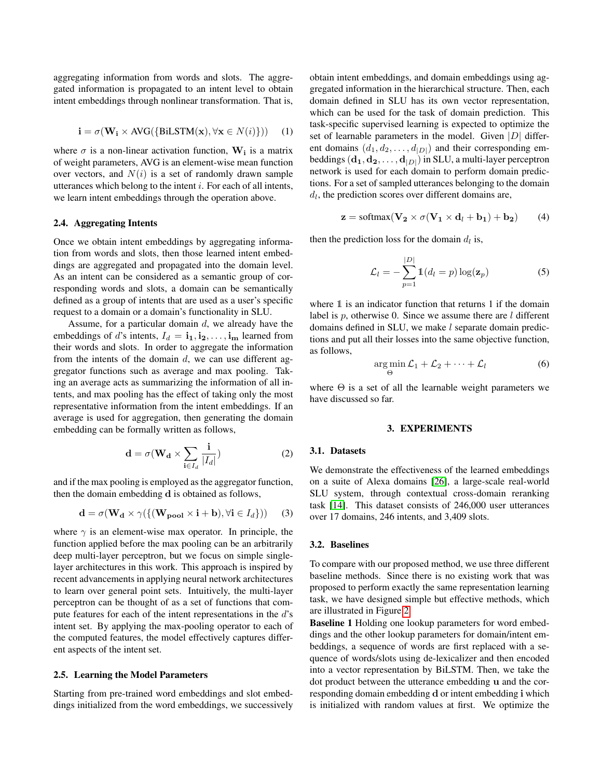aggregating information from words and slots. The aggregated information is propagated to an intent level to obtain intent embeddings through nonlinear transformation. That is,

$$
\mathbf{i} = \sigma(\mathbf{W}_\mathbf{i} \times \text{AVG}(\{\text{BiLSTM}(\mathbf{x}), \forall \mathbf{x} \in N(i)\})) \quad (1)
$$

where  $\sigma$  is a non-linear activation function,  $W_i$  is a matrix of weight parameters, AVG is an element-wise mean function over vectors, and  $N(i)$  is a set of randomly drawn sample utterances which belong to the intent  $i$ . For each of all intents, we learn intent embeddings through the operation above.

### <span id="page-2-0"></span>2.4. Aggregating Intents

Once we obtain intent embeddings by aggregating information from words and slots, then those learned intent embeddings are aggregated and propagated into the domain level. As an intent can be considered as a semantic group of corresponding words and slots, a domain can be semantically defined as a group of intents that are used as a user's specific request to a domain or a domain's functionality in SLU.

Assume, for a particular domain  $d$ , we already have the embeddings of d's intents,  $I_d = \mathbf{i}_1, \mathbf{i}_2, \dots, \mathbf{i}_m$  learned from their words and slots. In order to aggregate the information from the intents of the domain  $d$ , we can use different aggregator functions such as average and max pooling. Taking an average acts as summarizing the information of all intents, and max pooling has the effect of taking only the most representative information from the intent embeddings. If an average is used for aggregation, then generating the domain embedding can be formally written as follows,

$$
\mathbf{d} = \sigma(\mathbf{W}_{\mathbf{d}} \times \sum_{\mathbf{i} \in I_d} \frac{\mathbf{i}}{|I_d|})
$$
 (2)

and if the max pooling is employed as the aggregator function, then the domain embedding d is obtained as follows,

$$
\mathbf{d} = \sigma(\mathbf{W}_{\mathbf{d}} \times \gamma(\{(\mathbf{W}_{\mathbf{pool}} \times \mathbf{i} + \mathbf{b}), \forall \mathbf{i} \in I_d\})) \quad (3)
$$

where  $\gamma$  is an element-wise max operator. In principle, the function applied before the max pooling can be an arbitrarily deep multi-layer perceptron, but we focus on simple singlelayer architectures in this work. This approach is inspired by recent advancements in applying neural network architectures to learn over general point sets. Intuitively, the multi-layer perceptron can be thought of as a set of functions that compute features for each of the intent representations in the d's intent set. By applying the max-pooling operator to each of the computed features, the model effectively captures different aspects of the intent set.

## 2.5. Learning the Model Parameters

Starting from pre-trained word embeddings and slot embeddings initialized from the word embeddings, we successively obtain intent embeddings, and domain embeddings using aggregated information in the hierarchical structure. Then, each domain defined in SLU has its own vector representation, which can be used for the task of domain prediction. This task-specific supervised learning is expected to optimize the set of learnable parameters in the model. Given  $|D|$  different domains  $(d_1, d_2, \ldots, d_{|D|})$  and their corresponding embeddings  $(d_1, d_2, \ldots, d_{|D|})$  in SLU, a multi-layer perceptron network is used for each domain to perform domain predictions. For a set of sampled utterances belonging to the domain  $d_l$ , the prediction scores over different domains are,

$$
\mathbf{z} = \text{softmax}(\mathbf{V_2} \times \sigma(\mathbf{V_1} \times \mathbf{d}_l + \mathbf{b}_1) + \mathbf{b}_2)
$$
 (4)

then the prediction loss for the domain  $d_l$  is,

$$
\mathcal{L}_l = -\sum_{p=1}^{|D|} \mathbb{1}(d_l = p) \log(\mathbf{z}_p)
$$
 (5)

where 1 is an indicator function that returns 1 if the domain label is  $p$ , otherwise 0. Since we assume there are  $l$  different domains defined in SLU, we make *l* separate domain predictions and put all their losses into the same objective function, as follows,

$$
\argmin_{\Theta} \mathcal{L}_1 + \mathcal{L}_2 + \dots + \mathcal{L}_l \tag{6}
$$

where  $\Theta$  is a set of all the learnable weight parameters we have discussed so far.

### 3. EXPERIMENTS

#### 3.1. Datasets

We demonstrate the effectiveness of the learned embeddings on a suite of Alexa domains [\[26\]](#page-5-15), a large-scale real-world SLU system, through contextual cross-domain reranking task [\[14\]](#page-5-3). This dataset consists of 246,000 user utterances over 17 domains, 246 intents, and 3,409 slots.

#### <span id="page-2-1"></span>3.2. Baselines

To compare with our proposed method, we use three different baseline methods. Since there is no existing work that was proposed to perform exactly the same representation learning task, we have designed simple but effective methods, which are illustrated in Figure [2.](#page-3-0)

Baseline 1 Holding one lookup parameters for word embeddings and the other lookup parameters for domain/intent embeddings, a sequence of words are first replaced with a sequence of words/slots using de-lexicalizer and then encoded into a vector representation by BiLSTM. Then, we take the dot product between the utterance embedding u and the corresponding domain embedding d or intent embedding i which is initialized with random values at first. We optimize the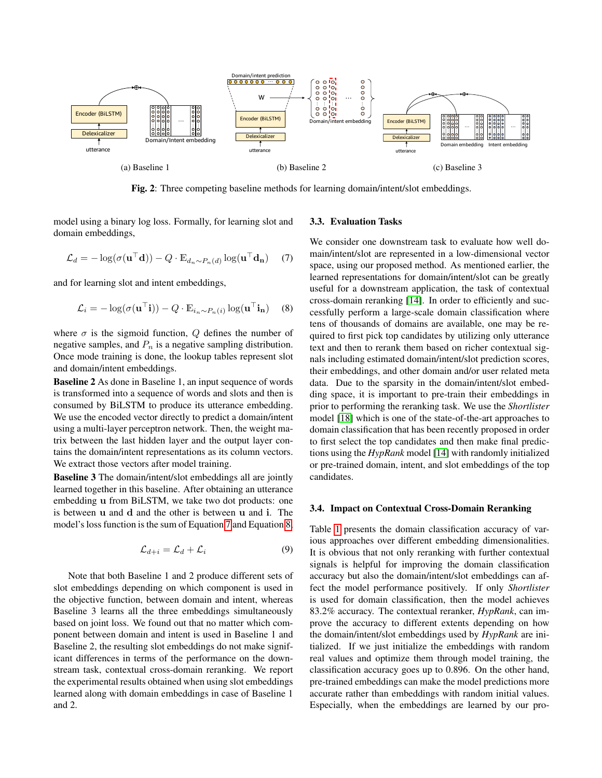<span id="page-3-0"></span>

Fig. 2: Three competing baseline methods for learning domain/intent/slot embeddings.

model using a binary log loss. Formally, for learning slot and domain embeddings,

<span id="page-3-1"></span>
$$
\mathcal{L}_d = -\log(\sigma(\mathbf{u}^\top \mathbf{d})) - Q \cdot \mathbb{E}_{d_n \sim P_n(d)} \log(\mathbf{u}^\top \mathbf{d}_n)
$$
 (7)

and for learning slot and intent embeddings,

<span id="page-3-2"></span>
$$
\mathcal{L}_i = -\log(\sigma(\mathbf{u}^\top \mathbf{i})) - Q \cdot \mathbb{E}_{i_n \sim P_n(i)} \log(\mathbf{u}^\top \mathbf{i}_n)
$$
 (8)

where  $\sigma$  is the sigmoid function, Q defines the number of negative samples, and  $P_n$  is a negative sampling distribution. Once mode training is done, the lookup tables represent slot and domain/intent embeddings.

Baseline 2 As done in Baseline 1, an input sequence of words is transformed into a sequence of words and slots and then is consumed by BiLSTM to produce its utterance embedding. We use the encoded vector directly to predict a domain/intent using a multi-layer perceptron network. Then, the weight matrix between the last hidden layer and the output layer contains the domain/intent representations as its column vectors. We extract those vectors after model training.

Baseline 3 The domain/intent/slot embeddings all are jointly learned together in this baseline. After obtaining an utterance embedding u from BiLSTM, we take two dot products: one is between u and d and the other is between u and i. The model's loss function is the sum of Equation [7](#page-3-1) and Equation [8,](#page-3-2)

$$
\mathcal{L}_{d+i} = \mathcal{L}_d + \mathcal{L}_i \tag{9}
$$

Note that both Baseline 1 and 2 produce different sets of slot embeddings depending on which component is used in the objective function, between domain and intent, whereas Baseline 3 learns all the three embeddings simultaneously based on joint loss. We found out that no matter which component between domain and intent is used in Baseline 1 and Baseline 2, the resulting slot embeddings do not make significant differences in terms of the performance on the downstream task, contextual cross-domain reranking. We report the experimental results obtained when using slot embeddings learned along with domain embeddings in case of Baseline 1 and 2.

### 3.3. Evaluation Tasks

We consider one downstream task to evaluate how well domain/intent/slot are represented in a low-dimensional vector space, using our proposed method. As mentioned earlier, the learned representations for domain/intent/slot can be greatly useful for a downstream application, the task of contextual cross-domain reranking [\[14\]](#page-5-3). In order to efficiently and successfully perform a large-scale domain classification where tens of thousands of domains are available, one may be required to first pick top candidates by utilizing only utterance text and then to rerank them based on richer contextual signals including estimated domain/intent/slot prediction scores, their embeddings, and other domain and/or user related meta data. Due to the sparsity in the domain/intent/slot embedding space, it is important to pre-train their embeddings in prior to performing the reranking task. We use the *Shortlister* model [\[18\]](#page-5-7) which is one of the state-of-the-art approaches to domain classification that has been recently proposed in order to first select the top candidates and then make final predictions using the *HypRank* model [\[14\]](#page-5-3) with randomly initialized or pre-trained domain, intent, and slot embeddings of the top candidates.

### 3.4. Impact on Contextual Cross-Domain Reranking

Table [1](#page-4-10) presents the domain classification accuracy of various approaches over different embedding dimensionalities. It is obvious that not only reranking with further contextual signals is helpful for improving the domain classification accuracy but also the domain/intent/slot embeddings can affect the model performance positively. If only *Shortlister* is used for domain classification, then the model achieves 83.2% accuracy. The contextual reranker, *HypRank*, can improve the accuracy to different extents depending on how the domain/intent/slot embeddings used by *HypRank* are initialized. If we just initialize the embeddings with random real values and optimize them through model training, the classification accuracy goes up to 0.896. On the other hand, pre-trained embeddings can make the model predictions more accurate rather than embeddings with random initial values. Especially, when the embeddings are learned by our pro-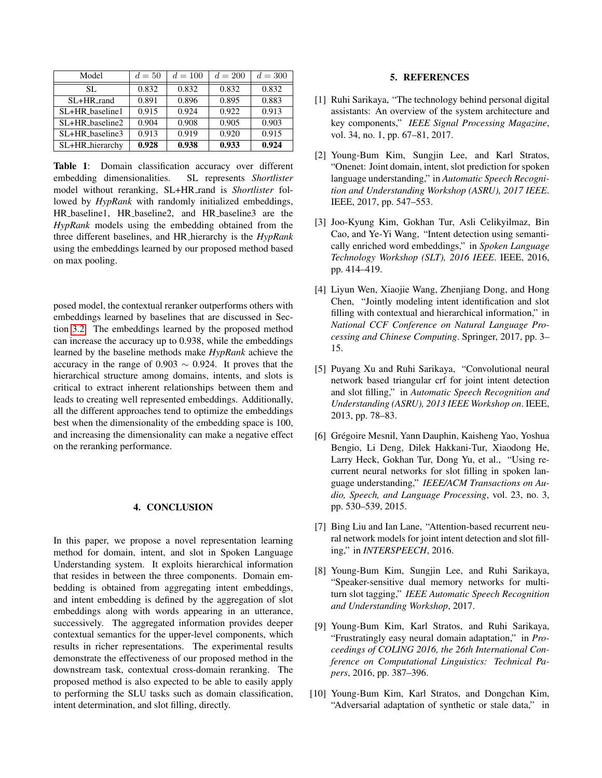<span id="page-4-10"></span>

| Model               | $d=50$ | $d = 100$ | $d = 200$ | $d = 300$ |
|---------------------|--------|-----------|-----------|-----------|
| SL.                 | 0.832  | 0.832     | 0.832     | 0.832     |
| $SL+HR$ rand        | 0.891  | 0.896     | 0.895     | 0.883     |
| $SI + HR$ baseline1 | 0.915  | 0.924     | 0.922     | 0.913     |
| $SL+HR$ baseline2   | 0.904  | 0.908     | 0.905     | 0.903     |
| SL+HR_baseline3     | 0.913  | 0.919     | 0.920     | 0.915     |
| SL+HR_hierarchy     | 0.928  | 0.938     | 0.933     | 0.924     |

Table 1: Domain classification accuracy over different embedding dimensionalities. SL represents *Shortlister* model without reranking, SL+HR\_rand is *Shortlister* followed by *HypRank* with randomly initialized embeddings, HR baseline1, HR baseline2, and HR baseline3 are the *HypRank* models using the embedding obtained from the three different baselines, and HR hierarchy is the *HypRank* using the embeddings learned by our proposed method based on max pooling.

posed model, the contextual reranker outperforms others with embeddings learned by baselines that are discussed in Section [3.2.](#page-2-1) The embeddings learned by the proposed method can increase the accuracy up to 0.938, while the embeddings learned by the baseline methods make *HypRank* achieve the accuracy in the range of 0.903  $\sim$  0.924. It proves that the hierarchical structure among domains, intents, and slots is critical to extract inherent relationships between them and leads to creating well represented embeddings. Additionally, all the different approaches tend to optimize the embeddings best when the dimensionality of the embedding space is 100, and increasing the dimensionality can make a negative effect on the reranking performance.

# 4. CONCLUSION

In this paper, we propose a novel representation learning method for domain, intent, and slot in Spoken Language Understanding system. It exploits hierarchical information that resides in between the three components. Domain embedding is obtained from aggregating intent embeddings, and intent embedding is defined by the aggregation of slot embeddings along with words appearing in an utterance, successively. The aggregated information provides deeper contextual semantics for the upper-level components, which results in richer representations. The experimental results demonstrate the effectiveness of our proposed method in the downstream task, contextual cross-domain reranking. The proposed method is also expected to be able to easily apply to performing the SLU tasks such as domain classification, intent determination, and slot filling, directly.

### 5. REFERENCES

- <span id="page-4-0"></span>[1] Ruhi Sarikaya, "The technology behind personal digital assistants: An overview of the system architecture and key components," *IEEE Signal Processing Magazine*, vol. 34, no. 1, pp. 67–81, 2017.
- <span id="page-4-1"></span>[2] Young-Bum Kim, Sungjin Lee, and Karl Stratos, "Onenet: Joint domain, intent, slot prediction for spoken language understanding," in *Automatic Speech Recognition and Understanding Workshop (ASRU), 2017 IEEE*. IEEE, 2017, pp. 547–553.
- <span id="page-4-2"></span>[3] Joo-Kyung Kim, Gokhan Tur, Asli Celikyilmaz, Bin Cao, and Ye-Yi Wang, "Intent detection using semantically enriched word embeddings," in *Spoken Language Technology Workshop (SLT), 2016 IEEE*. IEEE, 2016, pp. 414–419.
- <span id="page-4-3"></span>[4] Liyun Wen, Xiaojie Wang, Zhenjiang Dong, and Hong Chen, "Jointly modeling intent identification and slot filling with contextual and hierarchical information," in *National CCF Conference on Natural Language Processing and Chinese Computing*. Springer, 2017, pp. 3– 15.
- <span id="page-4-4"></span>[5] Puyang Xu and Ruhi Sarikaya, "Convolutional neural network based triangular crf for joint intent detection and slot filling," in *Automatic Speech Recognition and Understanding (ASRU), 2013 IEEE Workshop on*. IEEE, 2013, pp. 78–83.
- <span id="page-4-5"></span>[6] Grégoire Mesnil, Yann Dauphin, Kaisheng Yao, Yoshua Bengio, Li Deng, Dilek Hakkani-Tur, Xiaodong He, Larry Heck, Gokhan Tur, Dong Yu, et al., "Using recurrent neural networks for slot filling in spoken language understanding," *IEEE/ACM Transactions on Audio, Speech, and Language Processing*, vol. 23, no. 3, pp. 530–539, 2015.
- <span id="page-4-6"></span>[7] Bing Liu and Ian Lane, "Attention-based recurrent neural network models for joint intent detection and slot filling," in *INTERSPEECH*, 2016.
- <span id="page-4-7"></span>[8] Young-Bum Kim, Sungjin Lee, and Ruhi Sarikaya, "Speaker-sensitive dual memory networks for multiturn slot tagging," *IEEE Automatic Speech Recognition and Understanding Workshop*, 2017.
- <span id="page-4-8"></span>[9] Young-Bum Kim, Karl Stratos, and Ruhi Sarikaya, "Frustratingly easy neural domain adaptation," in *Proceedings of COLING 2016, the 26th International Conference on Computational Linguistics: Technical Papers*, 2016, pp. 387–396.
- <span id="page-4-9"></span>[10] Young-Bum Kim, Karl Stratos, and Dongchan Kim, "Adversarial adaptation of synthetic or stale data," in